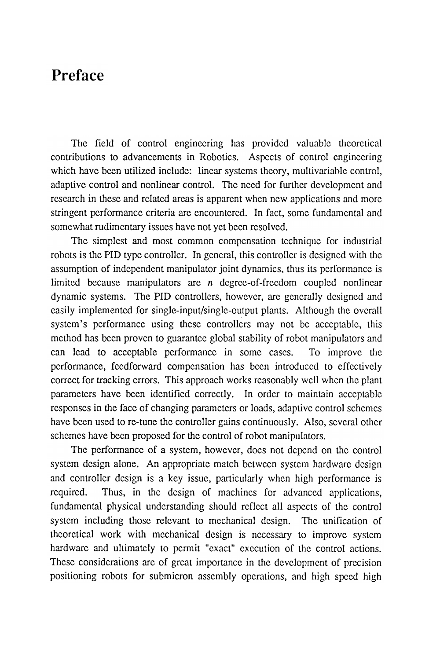## Preface

The field of control engineering has provided valuable theoretical contributions to advancements in Robotics. Aspects of control engineering which have been utilized include: linear systems theory, multivariable control, adaptive control and nonlinear control. The need for further development and research in these and related areas is apparent when new applications and more stringent pcrformance criteria are encountered. In fact, some fundamental and somewhat rudimentary issues have not yet been resolved.

The simplest and most common compensation technique for industrial robots is the PID type controller. In general, this controller is designed with the assumption of independent manipulator joint dynamics, thus its pcrformance is limited because manipulators are  $n$  degree-of-freedom coupled nonlinear dynamic systems. Thc PID controllers, however, are generally designcd and easily implemented for singic-input/singic-output plants. Although the overall system's performance using these controllers may not be acceptable, this method has been proven to guarantee global stability of robot manipulators and can lead to acceptable pcrformance in some cases. To improve the performance, fccdforward compensation has been introduccd to cffcctivcly correct for tracking errors. This approach works reasonably well when the plant parameters have been identified corrcctly. In ordcr to maintain acceptable responses in the face of changing parameters or loads, adaptive control schcmes have been used to re-tune the controller gains continuously. Also, several other schcmes have been proposed for the control of robot manipulators.

The performance of a system, however, does not depend on the control system design alone. An appropriate match between system hardware design and controller design is a key issue, particularly when high pcrformance is rcquired. Thus, in the design of machines for advanced applications, fundamental physical understanding should reflect all aspects of the control system including those relevant to mechanical dcsign. The unification of theoretical work with mechanical design is necessary to improve system hardware and ultimatcly to permit "exact" execution of the control actions. These considerations are of great importance in the development of precision positioning robots for submicron asscmbly operations, and high speed high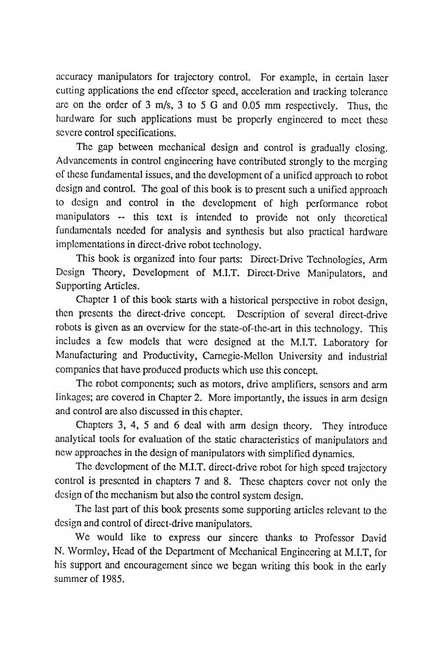accuracy manipulators for trajcctory control. For example, in certain laser cutting applications the end cffcctor speed, acceleration and tracking tolerance are on the order of 3 m/s, 3 to 5 G and 0.05 mm respectively. Thus, the hardware for such applications must bc properly engineered to meet these scvcre control specifications.

Thc gap between mechanical design and control is gradually closing. Advancements in control engineering have contributed strongly to the merging of these fundamental issues, and the development of a unified approach to robot design and control. Thc goal of this book is to present such a unified approach to design and control in the development of high performance robot manipulators -- this text is intended to provide not only theoretical fundamentals needed for analysis and synthesis but also practical hardware implementations in direct-drive robot tcchnology.

This book is organized into four parts: Direct-Drivc Tcchnologics, Arm Dcsign Thcory, Dcvelopment of M.I.T. Dircct-Drive Manipulators, and Supporting Articles.

Chapter 1 of this book starts with a historical perspective in robot design, then presents the direct -drive concept. Description of several direct-drive robots is given as an overview for the state-of-the-art in this technology. This includes a few models that were designed at the M.I.T. Laboratory for Manufacturing and Productivity, Carnegie-Mellon University and industrial companies that have produced products which use this concept.

The robot components; such as motors, drive amplifiers, sensors and arm linkages; are covered in Chapter 2. More importantly, the issues in arm design and control are also discussed in this chapter.

Chapters 3, 4, 5 and 6 deal with arm design theory. They introduce analytical tools for evaluation of the static characteristics of manipulators and new approaches in the design of manipulators with simplified dynamics.

The development of the M.I.T. direct-drive robot for high speed trajectory control is presented in chapters 7 and 8. These chapters cover not only the design of the mechanism but also the control system design.

The last part of this book presents some supporting articles relevant to the design and control of direct-drive manipulators.

We would like to express our sincere thanks to Professor Davi N. Wormley, Head of the Department of Mechanical Engineering at M.I.T, for his support and encouragement since we bcgan writing this book in the early summer of 1985.